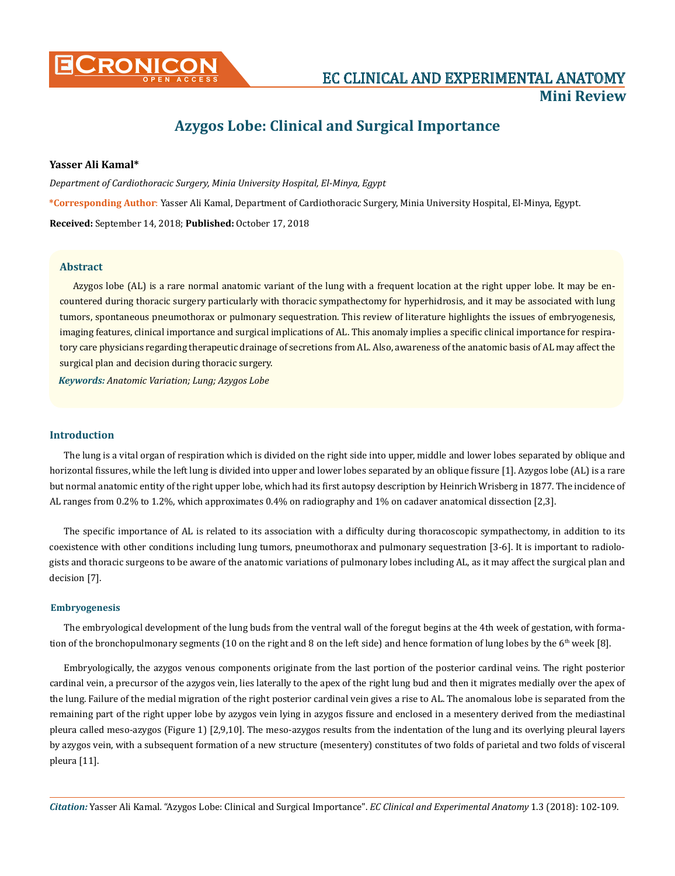

# **Azygos Lobe: Clinical and Surgical Importance**

# **Yasser Ali Kamal\***

*Department of Cardiothoracic Surgery, Minia University Hospital, El-Minya, Egypt* **\*Corresponding Author**: Yasser Ali Kamal, Department of Cardiothoracic Surgery, Minia University Hospital, El-Minya, Egypt. **Received:** September 14, 2018; **Published:** October 17, 2018

## **Abstract**

Azygos lobe (AL) is a rare normal anatomic variant of the lung with a frequent location at the right upper lobe. It may be encountered during thoracic surgery particularly with thoracic sympathectomy for hyperhidrosis, and it may be associated with lung tumors, spontaneous pneumothorax or pulmonary sequestration. This review of literature highlights the issues of embryogenesis, imaging features, clinical importance and surgical implications of AL. This anomaly implies a specific clinical importance for respiratory care physicians regarding therapeutic drainage of secretions from AL. Also, awareness of the anatomic basis of AL may affect the surgical plan and decision during thoracic surgery.

*Keywords: Anatomic Variation; Lung; Azygos Lobe*

## **Introduction**

The lung is a vital organ of respiration which is divided on the right side into upper, middle and lower lobes separated by oblique and horizontal fissures, while the left lung is divided into upper and lower lobes separated by an oblique fissure [1]. Azygos lobe (AL) is a rare but normal anatomic entity of the right upper lobe, which had its first autopsy description by Heinrich Wrisberg in 1877. The incidence of AL ranges from 0.2% to 1.2%, which approximates 0.4% on radiography and 1% on cadaver anatomical dissection [2,3].

The specific importance of AL is related to its association with a difficulty during thoracoscopic sympathectomy, in addition to its coexistence with other conditions including lung tumors, pneumothorax and pulmonary sequestration [3-6]. It is important to radiologists and thoracic surgeons to be aware of the anatomic variations of pulmonary lobes including AL, as it may affect the surgical plan and decision [7].

#### **Embryogenesis**

The embryological development of the lung buds from the ventral wall of the foregut begins at the 4th week of gestation, with formation of the bronchopulmonary segments (10 on the right and 8 on the left side) and hence formation of lung lobes by the  $6<sup>th</sup>$  week [8].

Embryologically, the azygos venous components originate from the last portion of the posterior cardinal veins. The right posterior cardinal vein, a precursor of the azygos vein, lies laterally to the apex of the right lung bud and then it migrates medially over the apex of the lung. Failure of the medial migration of the right posterior cardinal vein gives a rise to AL. The anomalous lobe is separated from the remaining part of the right upper lobe by azygos vein lying in azygos fissure and enclosed in a mesentery derived from the mediastinal pleura called meso-azygos (Figure 1) [2,9,10]. The meso-azygos results from the indentation of the lung and its overlying pleural layers by azygos vein, with a subsequent formation of a new structure (mesentery) constitutes of two folds of parietal and two folds of visceral pleura [11].

*Citation:* Yasser Ali Kamal*.* "Azygos Lobe: Clinical and Surgical Importance". *EC Clinical and Experimental Anatomy* 1.3 (2018): 102-109.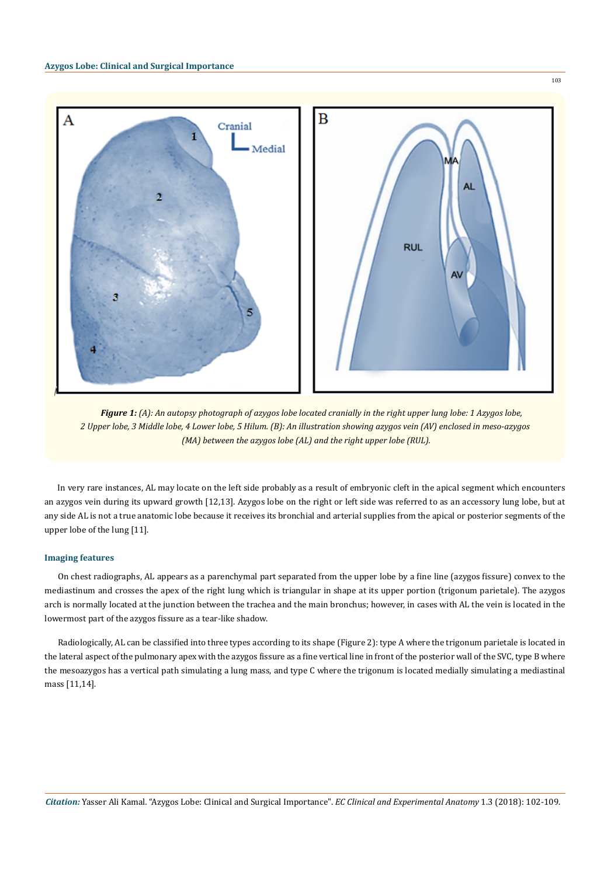

*Figure 1: (A): An autopsy photograph of azygos lobe located cranially in the right upper lung lobe: 1 Azygos lobe, 2 Upper lobe, 3 Middle lobe, 4 Lower lobe, 5 Hilum. (B): An illustration showing azygos vein (AV) enclosed in meso-azygos (MA) between the azygos lobe (AL) and the right upper lobe (RUL).*

In very rare instances, AL may locate on the left side probably as a result of embryonic cleft in the apical segment which encounters an azygos vein during its upward growth [12,13]. Azygos lobe on the right or left side was referred to as an accessory lung lobe, but at any side AL is not a true anatomic lobe because it receives its bronchial and arterial supplies from the apical or posterior segments of the upper lobe of the lung [11].

## **Imaging features**

On chest radiographs, AL appears as a parenchymal part separated from the upper lobe by a fine line (azygos fissure) convex to the mediastinum and crosses the apex of the right lung which is triangular in shape at its upper portion (trigonum parietale). The azygos arch is normally located at the junction between the trachea and the main bronchus; however, in cases with AL the vein is located in the lowermost part of the azygos fissure as a tear-like shadow.

Radiologically, AL can be classified into three types according to its shape (Figure 2): type A where the trigonum parietale is located in the lateral aspect of the pulmonary apex with the azygos fissure as a fine vertical line in front of the posterior wall of the SVC, type B where the mesoazygos has a vertical path simulating a lung mass, and type C where the trigonum is located medially simulating a mediastinal mass [11,14].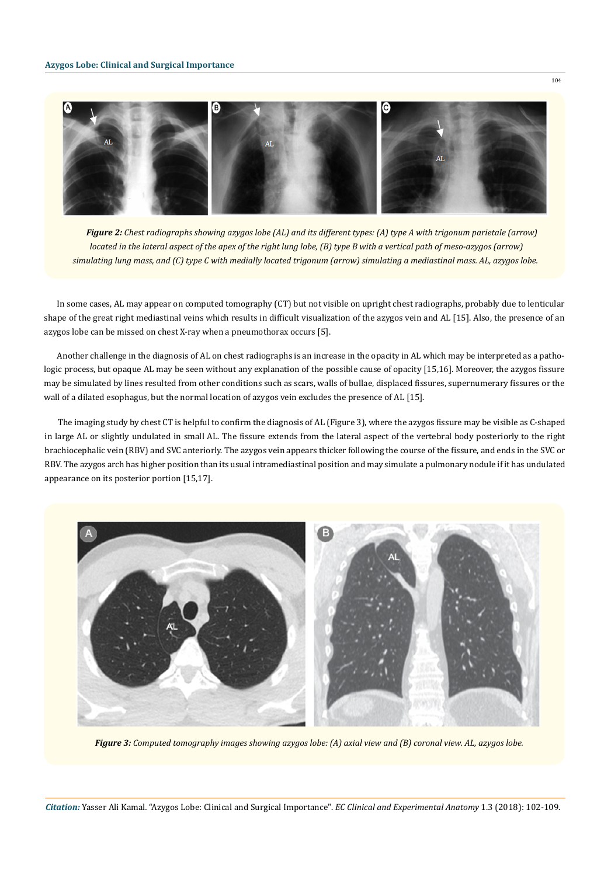

*Figure 2: Chest radiographs showing azygos lobe (AL) and its different types: (A) type A with trigonum parietale (arrow) located in the lateral aspect of the apex of the right lung lobe, (B) type B with a vertical path of meso-azygos (arrow) simulating lung mass, and (C) type C with medially located trigonum (arrow) simulating a mediastinal mass. AL, azygos lobe.*

In some cases, AL may appear on computed tomography (CT) but not visible on upright chest radiographs, probably due to lenticular shape of the great right mediastinal veins which results in difficult visualization of the azygos vein and AL [15]. Also, the presence of an azygos lobe can be missed on chest X-ray when a pneumothorax occurs [5].

Another challenge in the diagnosis of AL on chest radiographs is an increase in the opacity in AL which may be interpreted as a pathologic process, but opaque AL may be seen without any explanation of the possible cause of opacity [15,16]. Moreover, the azygos fissure may be simulated by lines resulted from other conditions such as scars, walls of bullae, displaced fissures, supernumerary fissures or the wall of a dilated esophagus, but the normal location of azygos vein excludes the presence of AL [15].

The imaging study by chest CT is helpful to confirm the diagnosis of AL (Figure 3), where the azygos fissure may be visible as C-shaped in large AL or slightly undulated in small AL. The fissure extends from the lateral aspect of the vertebral body posteriorly to the right brachiocephalic vein (RBV) and SVC anteriorly. The azygos vein appears thicker following the course of the fissure, and ends in the SVC or RBV. The azygos arch has higher position than its usual intramediastinal position and may simulate a pulmonary nodule if it has undulated appearance on its posterior portion [15,17].



*Figure 3: Computed tomography images showing azygos lobe: (A) axial view and (B) coronal view. AL, azygos lobe.*

*Citation:* Yasser Ali Kamal*.* "Azygos Lobe: Clinical and Surgical Importance". *EC Clinical and Experimental Anatomy* 1.3 (2018): 102-109.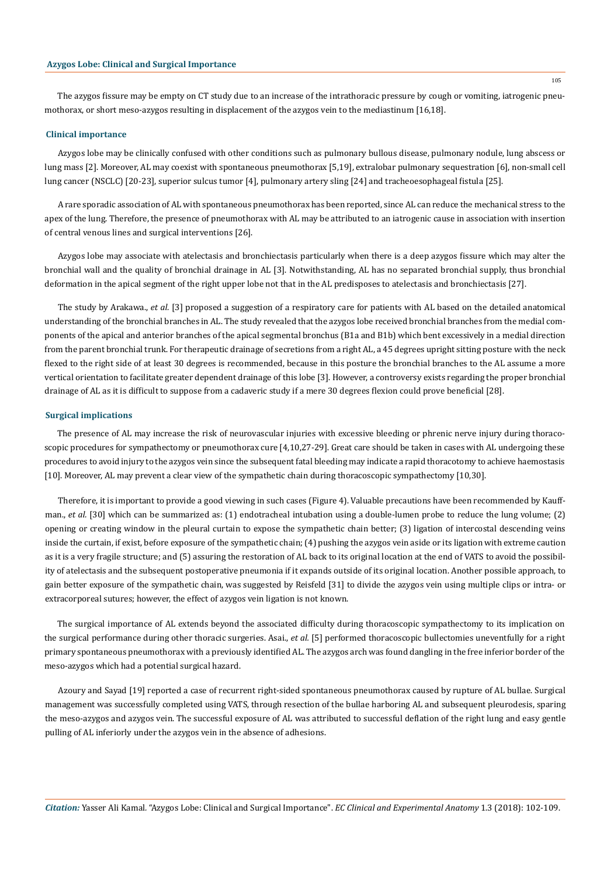The azygos fissure may be empty on CT study due to an increase of the intrathoracic pressure by cough or vomiting, iatrogenic pneumothorax, or short meso-azygos resulting in displacement of the azygos vein to the mediastinum [16,18].

## **Clinical importance**

Azygos lobe may be clinically confused with other conditions such as pulmonary bullous disease, pulmonary nodule, lung abscess or lung mass [2]. Moreover, AL may coexist with spontaneous pneumothorax [5,19], extralobar pulmonary sequestration [6], non-small cell lung cancer (NSCLC) [20-23], superior sulcus tumor [4], pulmonary artery sling [24] and tracheoesophageal fistula [25].

A rare sporadic association of AL with spontaneous pneumothorax has been reported, since AL can reduce the mechanical stress to the apex of the lung. Therefore, the presence of pneumothorax with AL may be attributed to an iatrogenic cause in association with insertion of central venous lines and surgical interventions [26].

Azygos lobe may associate with atelectasis and bronchiectasis particularly when there is a deep azygos fissure which may alter the bronchial wall and the quality of bronchial drainage in AL [3]. Notwithstanding, AL has no separated bronchial supply, thus bronchial deformation in the apical segment of the right upper lobe not that in the AL predisposes to atelectasis and bronchiectasis [27].

The study by Arakawa., *et al.* [3] proposed a suggestion of a respiratory care for patients with AL based on the detailed anatomical understanding of the bronchial branches in AL. The study revealed that the azygos lobe received bronchial branches from the medial components of the apical and anterior branches of the apical segmental bronchus (B1a and B1b) which bent excessively in a medial direction from the parent bronchial trunk. For therapeutic drainage of secretions from a right AL, a 45 degrees upright sitting posture with the neck flexed to the right side of at least 30 degrees is recommended, because in this posture the bronchial branches to the AL assume a more vertical orientation to facilitate greater dependent drainage of this lobe [3]. However, a controversy exists regarding the proper bronchial drainage of AL as it is difficult to suppose from a cadaveric study if a mere 30 degrees flexion could prove beneficial [28].

### **Surgical implications**

The presence of AL may increase the risk of neurovascular injuries with excessive bleeding or phrenic nerve injury during thoracoscopic procedures for sympathectomy or pneumothorax cure [4,10,27-29]. Great care should be taken in cases with AL undergoing these procedures to avoid injury to the azygos vein since the subsequent fatal bleeding may indicate a rapid thoracotomy to achieve haemostasis [10]. Moreover, AL may prevent a clear view of the sympathetic chain during thoracoscopic sympathectomy [10,30].

Therefore, it is important to provide a good viewing in such cases (Figure 4). Valuable precautions have been recommended by Kauffman., *et al.* [30] which can be summarized as: (1) endotracheal intubation using a double-lumen probe to reduce the lung volume; (2) opening or creating window in the pleural curtain to expose the sympathetic chain better; (3) ligation of intercostal descending veins inside the curtain, if exist, before exposure of the sympathetic chain; (4) pushing the azygos vein aside or its ligation with extreme caution as it is a very fragile structure; and (5) assuring the restoration of AL back to its original location at the end of VATS to avoid the possibility of atelectasis and the subsequent postoperative pneumonia if it expands outside of its original location. Another possible approach, to gain better exposure of the sympathetic chain, was suggested by Reisfeld [31] to divide the azygos vein using multiple clips or intra- or extracorporeal sutures; however, the effect of azygos vein ligation is not known.

The surgical importance of AL extends beyond the associated difficulty during thoracoscopic sympathectomy to its implication on the surgical performance during other thoracic surgeries. Asai., *et al.* [5] performed thoracoscopic bullectomies uneventfully for a right primary spontaneous pneumothorax with a previously identified AL. The azygos arch was found dangling in the free inferior border of the meso-azygos which had a potential surgical hazard.

Azoury and Sayad [19] reported a case of recurrent right-sided spontaneous pneumothorax caused by rupture of AL bullae. Surgical management was successfully completed using VATS, through resection of the bullae harboring AL and subsequent pleurodesis, sparing the meso-azygos and azygos vein. The successful exposure of AL was attributed to successful deflation of the right lung and easy gentle pulling of AL inferiorly under the azygos vein in the absence of adhesions.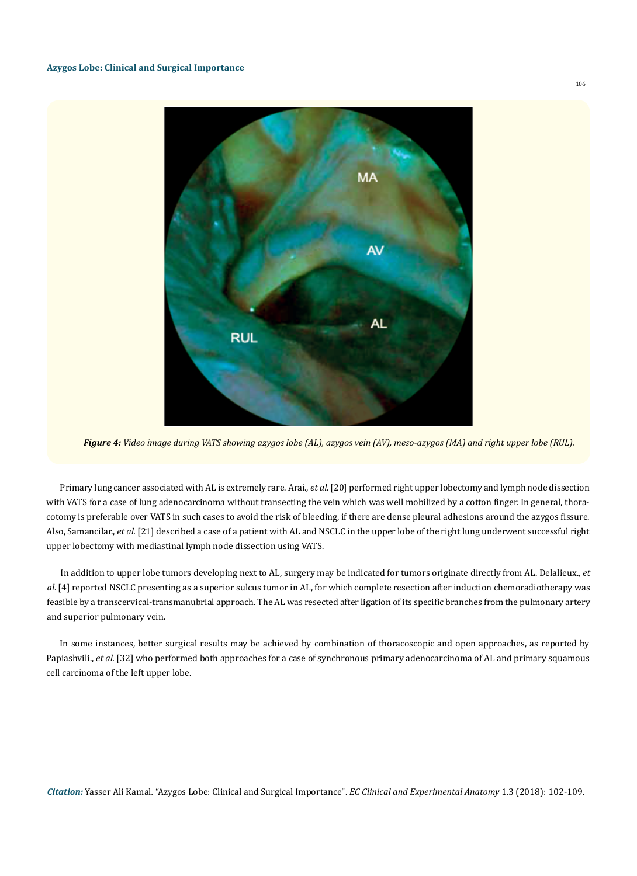

*Figure 4: Video image during VATS showing azygos lobe (AL), azygos vein (AV), meso-azygos (MA) and right upper lobe (RUL).*

Primary lung cancer associated with AL is extremely rare. Arai., *et al.* [20] performed right upper lobectomy and lymph node dissection with VATS for a case of lung adenocarcinoma without transecting the vein which was well mobilized by a cotton finger. In general, thoracotomy is preferable over VATS in such cases to avoid the risk of bleeding, if there are dense pleural adhesions around the azygos fissure. Also, Samancilar., *et al.* [21] described a case of a patient with AL and NSCLC in the upper lobe of the right lung underwent successful right upper lobectomy with mediastinal lymph node dissection using VATS.

In addition to upper lobe tumors developing next to AL, surgery may be indicated for tumors originate directly from AL. Delalieux., *et al*. [4] reported NSCLC presenting as a superior sulcus tumor in AL, for which complete resection after induction chemoradiotherapy was feasible by a transcervical-transmanubrial approach. The AL was resected after ligation of its specific branches from the pulmonary artery and superior pulmonary vein.

In some instances, better surgical results may be achieved by combination of thoracoscopic and open approaches, as reported by Papiashvili., *et al.* [32] who performed both approaches for a case of synchronous primary adenocarcinoma of AL and primary squamous cell carcinoma of the left upper lobe.

106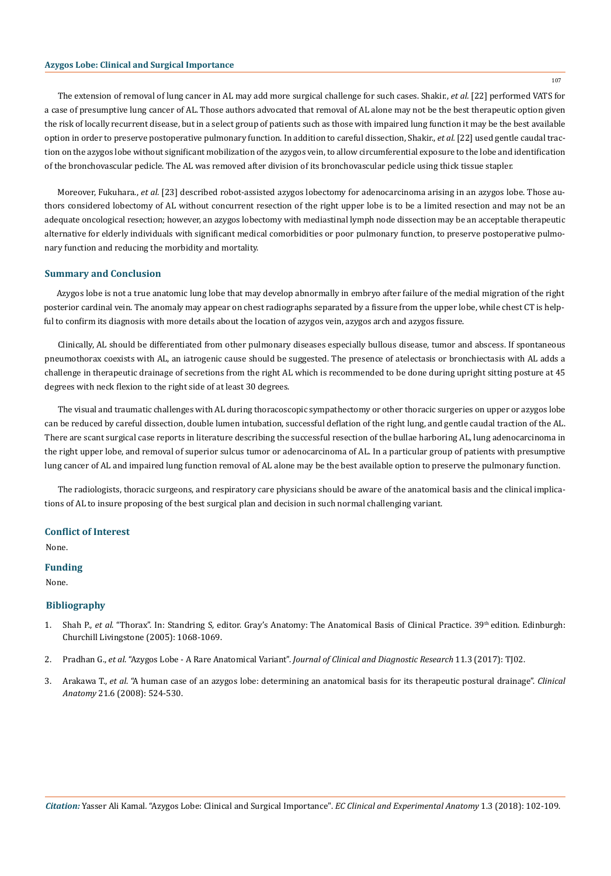# **Azygos Lobe: Clinical and Surgical Importance**

The extension of removal of lung cancer in AL may add more surgical challenge for such cases. Shakir., *et al.* [22] performed VATS for a case of presumptive lung cancer of AL. Those authors advocated that removal of AL alone may not be the best therapeutic option given the risk of locally recurrent disease, but in a select group of patients such as those with impaired lung function it may be the best available option in order to preserve postoperative pulmonary function. In addition to careful dissection, Shakir., *et al.* [22] used gentle caudal traction on the azygos lobe without significant mobilization of the azygos vein, to allow circumferential exposure to the lobe and identification of the bronchovascular pedicle. The AL was removed after division of its bronchovascular pedicle using thick tissue stapler.

Moreover, Fukuhara., *et al.* [23] described robot-assisted azygos lobectomy for adenocarcinoma arising in an azygos lobe. Those authors considered lobectomy of AL without concurrent resection of the right upper lobe is to be a limited resection and may not be an adequate oncological resection; however, an azygos lobectomy with mediastinal lymph node dissection may be an acceptable therapeutic alternative for elderly individuals with significant medical comorbidities or poor pulmonary function, to preserve postoperative pulmonary function and reducing the morbidity and mortality.

#### **Summary and Conclusion**

Azygos lobe is not a true anatomic lung lobe that may develop abnormally in embryo after failure of the medial migration of the right posterior cardinal vein. The anomaly may appear on chest radiographs separated by a fissure from the upper lobe, while chest CT is helpful to confirm its diagnosis with more details about the location of azygos vein, azygos arch and azygos fissure.

Clinically, AL should be differentiated from other pulmonary diseases especially bullous disease, tumor and abscess. If spontaneous pneumothorax coexists with AL, an iatrogenic cause should be suggested. The presence of atelectasis or bronchiectasis with AL adds a challenge in therapeutic drainage of secretions from the right AL which is recommended to be done during upright sitting posture at 45 degrees with neck flexion to the right side of at least 30 degrees.

The visual and traumatic challenges with AL during thoracoscopic sympathectomy or other thoracic surgeries on upper or azygos lobe can be reduced by careful dissection, double lumen intubation, successful deflation of the right lung, and gentle caudal traction of the AL. There are scant surgical case reports in literature describing the successful resection of the bullae harboring AL, lung adenocarcinoma in the right upper lobe, and removal of superior sulcus tumor or adenocarcinoma of AL. In a particular group of patients with presumptive lung cancer of AL and impaired lung function removal of AL alone may be the best available option to preserve the pulmonary function.

The radiologists, thoracic surgeons, and respiratory care physicians should be aware of the anatomical basis and the clinical implications of AL to insure proposing of the best surgical plan and decision in such normal challenging variant.

## **Conflict of Interest**

None.

# **Funding**

None.

## **Bibliography**

- 1. Shah P., *et al*. "Thorax". In: Standring S, editor. Gray's Anatomy: The Anatomical Basis of Clinical Practice. 39th edition. Edinburgh: Churchill Livingstone (2005): 1068-1069.
- 2. Pradhan G., *et al*. "Azygos Lobe A Rare Anatomical Variant". *[Journal of Clinical and Diagnostic Research](https://www.ncbi.nlm.nih.gov/pmc/articles/PMC5427406/)* 11.3 (2017): TJ02.
- 3. Arakawa T., *et al*[. "A human case of an azygos lobe: determining an anatomical basis for its therapeutic postural drainage".](https://www.ncbi.nlm.nih.gov/pubmed/18661573) *Clinical Anatomy* [21.6 \(2008\): 524-530.](https://www.ncbi.nlm.nih.gov/pubmed/18661573)

*Citation:* Yasser Ali Kamal*.* "Azygos Lobe: Clinical and Surgical Importance". *EC Clinical and Experimental Anatomy* 1.3 (2018): 102-109.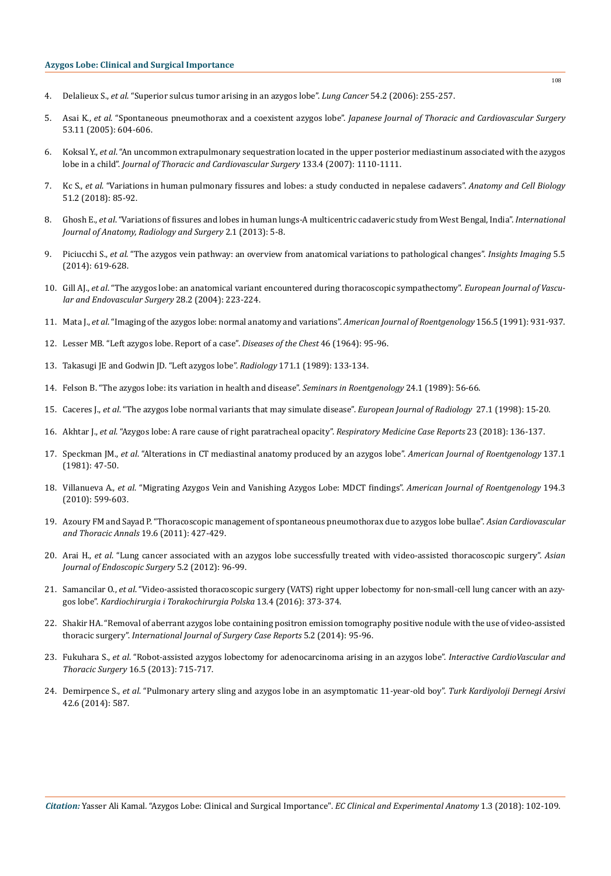- 4. Delalieux S., *et al*[. "Superior sulcus tumor arising in an azygos lobe".](https://www.ncbi.nlm.nih.gov/pubmed/16914225) *Lung Cancer* 54.2 (2006): 255-257.
- 5. Asai K., *et al*. "Spontaneous pneumothorax and a coexistent azygos lobe". *[Japanese Journal of Thoracic and Cardiovascular Surgery](https://www.ncbi.nlm.nih.gov/pubmed/16363719)*  [53.11 \(2005\): 604-606.](https://www.ncbi.nlm.nih.gov/pubmed/16363719)
- 6. Koksal Y., *et al*[. "An uncommon extrapulmonary sequestration located in the upper posterior mediastinum associated with the azygos](https://www.ncbi.nlm.nih.gov/pubmed/17382671)  lobe in a child". *[Journal of Thoracic and Cardiovascular Surgery](https://www.ncbi.nlm.nih.gov/pubmed/17382671)* 133.4 (2007): 1110-1111.
- 7. Kc S., *et al*[. "Variations in human pulmonary fissures and lobes: a study conducted in nepalese cadavers".](https://www.ncbi.nlm.nih.gov/pmc/articles/PMC6026823/) *Anatomy and Cell Biology*  [51.2 \(2018\): 85-92.](https://www.ncbi.nlm.nih.gov/pmc/articles/PMC6026823/)
- 8. Ghosh E., *et al*[. "Variations of fissures and lobes in human lungs-A multicentric cadaveric study from West Bengal, India".](http://ijars.net/articles/PDF/1961/5660_PF1(PU)_F(H)_PF1(H).pdf) *International [Journal of Anatomy, Radiology and Surgery](http://ijars.net/articles/PDF/1961/5660_PF1(PU)_F(H)_PF1(H).pdf)* 2.1 (2013): 5-8.
- 9. Piciucchi S., *et al*[. "The azygos vein pathway: an overview from anatomical variations to pathological changes".](https://www.ncbi.nlm.nih.gov/pmc/articles/PMC4195836/) *Insights Imaging* 5.5 [\(2014\): 619-628.](https://www.ncbi.nlm.nih.gov/pmc/articles/PMC4195836/)
- 10. Gill AJ., *et al*[. "The azygos lobe: an anatomical variant encountered during thoracoscopic sympathectomy".](https://www.ncbi.nlm.nih.gov/pubmed/15234706) *European Journal of Vascu[lar and Endovascular Surgery](https://www.ncbi.nlm.nih.gov/pubmed/15234706)* 28.2 (2004): 223-224.
- 11. Mata J., *et al*[. "Imaging of the azygos lobe: normal anatomy and variations".](https://www.ncbi.nlm.nih.gov/pubmed/2017954) *American Journal of Roentgenology* 156.5 (1991): 931-937.
- 12. [Lesser MB. "Left azygos lobe. Report of a case".](https://www.ncbi.nlm.nih.gov/pubmed/14195416) *Diseases of the Chest* 46 (1964): 95-96.
- 13. [Takasugi JE and Godwin JD. "Left azygos lobe".](https://www.ncbi.nlm.nih.gov/pubmed/2928516) *Radiology* 171.1 (1989): 133-134.
- 14. [Felson B. "The azygos lobe: its variation in health and disease".](https://www.ncbi.nlm.nih.gov/pubmed/2643832) *Seminars in Roentgenology* 24.1 (1989): 56-66.
- 15. Caceres J., *et al*[. "The azygos lobe normal variants that may simulate disease".](https://www.ncbi.nlm.nih.gov/pubmed/9587765) *European Journal of Radiology* 27.1 (1998): 15-20.
- 16. Akhtar J., *et al*[. "Azygos lobe: A rare cause of right paratracheal opacity".](https://www.ncbi.nlm.nih.gov/pmc/articles/PMC5925948/) *Respiratory Medicine Case Reports* 23 (2018): 136-137.
- 17. Speckman JM., *et al*[. "Alterations in CT mediastinal anatomy produced by an azygos lobe".](https://www.ncbi.nlm.nih.gov/pubmed/6787889) *American Journal of Roentgenology* 137.1 [\(1981\): 47-50.](https://www.ncbi.nlm.nih.gov/pubmed/6787889)
- 18. Villanueva A., *et al*[. "Migrating Azygos Vein and Vanishing Azygos Lobe: MDCT findings".](https://www.ncbi.nlm.nih.gov/pubmed/20173134) *American Journal of Roentgenology* 194.3 [\(2010\): 599-603.](https://www.ncbi.nlm.nih.gov/pubmed/20173134)
- 19. [Azoury FM and Sayad P. "Thoracoscopic management of spontaneous pneumothorax due to azygos lobe bullae".](https://www.ncbi.nlm.nih.gov/pubmed/22160416) *Asian Cardiovascular [and Thoracic Annals](https://www.ncbi.nlm.nih.gov/pubmed/22160416)* 19.6 (2011): 427-429.
- 20. Arai H., *et al*[. "Lung cancer associated with an azygos lobe successfully treated with video-assisted thoracoscopic surgery".](https://www.ncbi.nlm.nih.gov/pubmed/22776373) *Asian [Journal of Endoscopic Surgery](https://www.ncbi.nlm.nih.gov/pubmed/22776373)* 5.2 (2012): 96-99.
- 21. Samancilar O., *et al*[. "Video-assisted thoracoscopic surgery \(VATS\) right upper lobectomy for non-small-cell lung cancer with an azy](https://www.ncbi.nlm.nih.gov/pmc/articles/PMC5233773/)gos lobe". *[Kardiochirurgia i Torakochirurgia Polska](https://www.ncbi.nlm.nih.gov/pmc/articles/PMC5233773/)* 13.4 (2016): 373-374.
- 22. [Shakir HA. "Removal of aberrant azygos lobe containing positron emission tomography positive nodule with the use of video-assisted](https://www.ncbi.nlm.nih.gov/pmc/articles/PMC3921653/)  thoracic surgery". *[International Journal of Surgery Case Reports](https://www.ncbi.nlm.nih.gov/pmc/articles/PMC3921653/)* 5.2 (2014): 95-96.
- 23. Fukuhara S., *et al*[. "Robot-assisted azygos lobectomy for adenocarcinoma arising in an azygos lobe".](https://www.ncbi.nlm.nih.gov/pubmed/23403771) *Interactive CardioVascular and Thoracic Surgery* [16.5 \(2013\): 715-717.](https://www.ncbi.nlm.nih.gov/pubmed/23403771)
- 24. Demirpence S., *et al*[. "Pulmonary artery sling and azygos lobe in an asymptomatic 11-year-old boy".](https://www.ncbi.nlm.nih.gov/pubmed/25362955) *Turk Kardiyoloji Dernegi Arsivi*  [42.6 \(2014\): 587.](https://www.ncbi.nlm.nih.gov/pubmed/25362955)

108